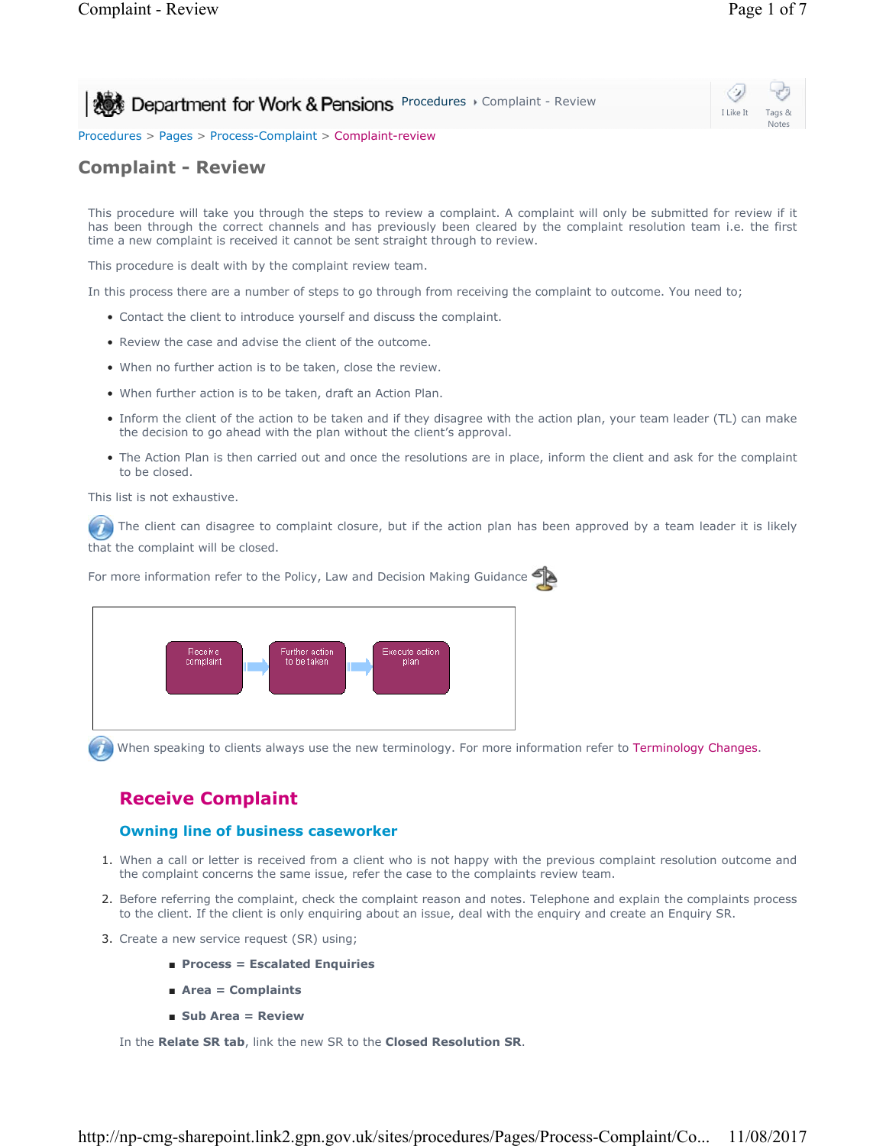**Procedures > Complaint - Review** 

Procedures > Pages > Process-Complaint > Complaint-review

# **Complaint - Review**

This procedure will take you through the steps to review a complaint. A complaint will only be submitted for review if it has been through the correct channels and has previously been cleared by the complaint resolution team i.e. the first time a new complaint is received it cannot be sent straight through to review.

This procedure is dealt with by the complaint review team.

In this process there are a number of steps to go through from receiving the complaint to outcome. You need to;

- Contact the client to introduce yourself and discuss the complaint.
- Review the case and advise the client of the outcome.
- When no further action is to be taken, close the review.
- When further action is to be taken, draft an Action Plan.
- Inform the client of the action to be taken and if they disagree with the action plan, your team leader (TL) can make the decision to go ahead with the plan without the client's approval.
- The Action Plan is then carried out and once the resolutions are in place, inform the client and ask for the complaint to be closed.

This list is not exhaustive.

The client can disagree to complaint closure, but if the action plan has been approved by a team leader it is likely that the complaint will be closed.



When speaking to clients always use the new terminology. For more information refer to Terminology Changes.

# **Receive Complaint**

## **Owning line of business caseworker**

- 1. When a call or letter is received from a client who is not happy with the previous complaint resolution outcome and the complaint concerns the same issue, refer the case to the complaints review team.
- 2. Before referring the complaint, check the complaint reason and notes. Telephone and explain the complaints process to the client. If the client is only enquiring about an issue, deal with the enquiry and create an Enquiry SR.
- 3. Create a new service request (SR) using;
	- **Process = Escalated Enquiries**
	- **Area = Complaints**
	- **Sub Area = Review**

In the **Relate SR tab**, link the new SR to the **Closed Resolution SR**.

I Like It Tags & Notes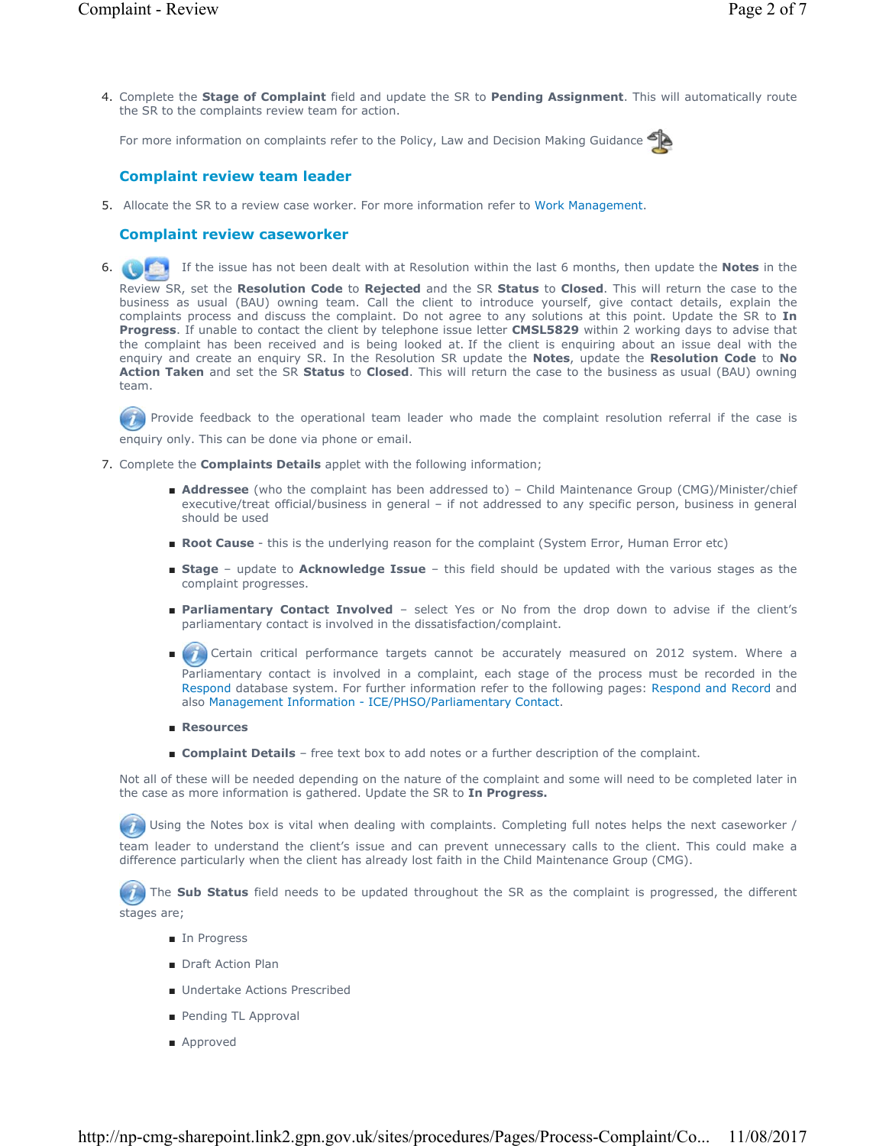4. Complete the Stage of Complaint field and update the SR to Pending Assignment. This will automatically route the SR to the complaints review team for action.

For more information on complaints refer to the Policy, Law and Decision Making Guidance



## **Complaint review team leader**

5. Allocate the SR to a review case worker. For more information refer to Work Management.

### **Complaint review caseworker**

 If the issue has not been dealt with at Resolution within the last 6 months, then update the **Notes** in the 6.

Review SR, set the **Resolution Code** to **Rejected** and the SR **Status** to **Closed**. This will return the case to the business as usual (BAU) owning team. Call the client to introduce yourself, give contact details, explain the complaints process and discuss the complaint. Do not agree to any solutions at this point. Update the SR to **In Progress**. If unable to contact the client by telephone issue letter **CMSL5829** within 2 working days to advise that the complaint has been received and is being looked at. If the client is enquiring about an issue deal with the enquiry and create an enquiry SR. In the Resolution SR update the **Notes**, update the **Resolution Code** to **No Action Taken** and set the SR **Status** to **Closed**. This will return the case to the business as usual (BAU) owning team.

 $\mathcal{I}$ Provide feedback to the operational team leader who made the complaint resolution referral if the case is enquiry only. This can be done via phone or email.

- 7. Complete the **Complaints Details** applet with the following information;
	- **Addressee** (who the complaint has been addressed to) Child Maintenance Group (CMG)/Minister/chief executive/treat official/business in general – if not addressed to any specific person, business in general should be used
	- **Root Cause** this is the underlying reason for the complaint (System Error, Human Error etc)
	- Stage update to Acknowledge Issue this field should be updated with the various stages as the complaint progresses.
	- Parliamentary Contact Involved select Yes or No from the drop down to advise if the client's parliamentary contact is involved in the dissatisfaction/complaint.
	- Certain critical performance targets cannot be accurately measured on 2012 system. Where a Parliamentary contact is involved in a complaint, each stage of the process must be recorded in the Respond database system. For further information refer to the following pages: Respond and Record and also Management Information - ICE/PHSO/Parliamentary Contact. ■
	- **Resources**
	- **Complaint Details** free text box to add notes or a further description of the complaint.

Not all of these will be needed depending on the nature of the complaint and some will need to be completed later in the case as more information is gathered. Update the SR to **In Progress.**

Using the Notes box is vital when dealing with complaints. Completing full notes helps the next caseworker /

team leader to understand the client's issue and can prevent unnecessary calls to the client. This could make a difference particularly when the client has already lost faith in the Child Maintenance Group (CMG).

The **Sub Status** field needs to be updated throughout the SR as the complaint is progressed, the different stages are;

- In Progress
- Draft Action Plan
- Undertake Actions Prescribed
- Pending TL Approval
- Approved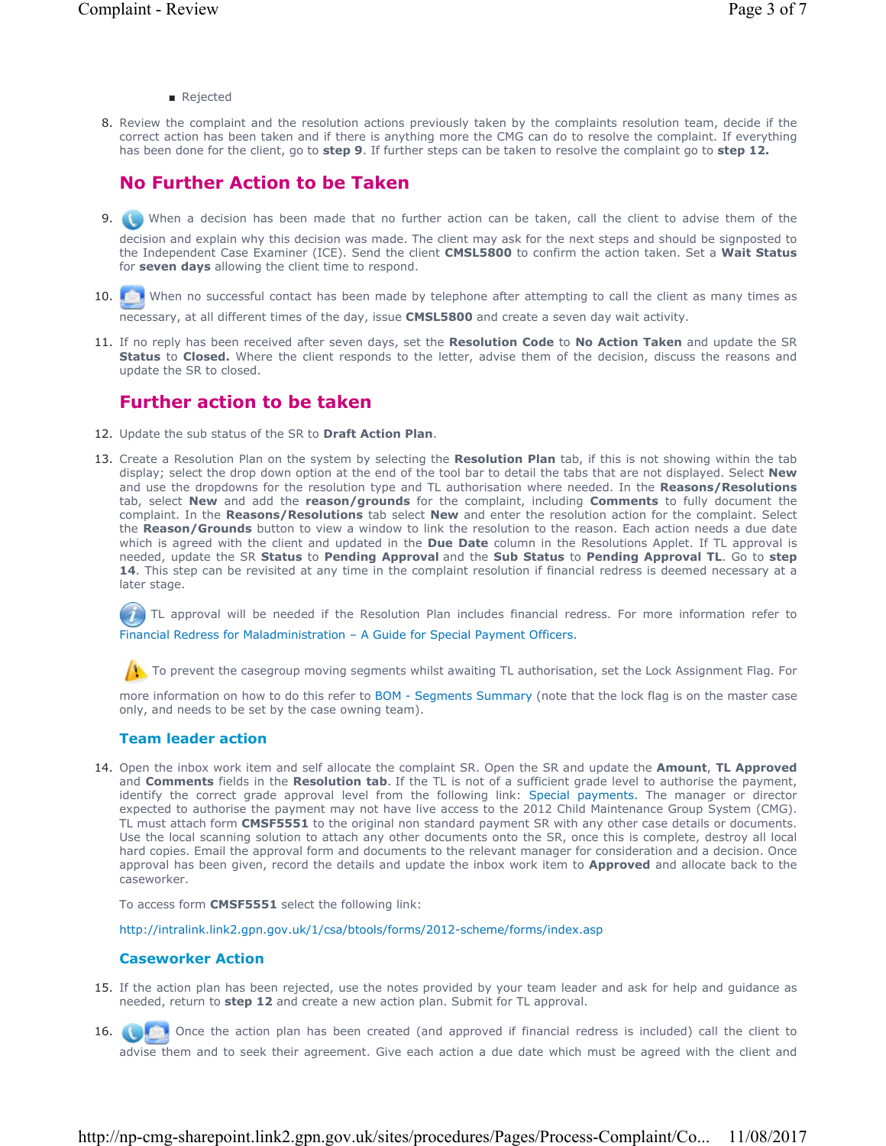### ■ Rejected

8. Review the complaint and the resolution actions previously taken by the complaints resolution team, decide if the correct action has been taken and if there is anything more the CMG can do to resolve the complaint. If everything has been done for the client, go to **step 9**. If further steps can be taken to resolve the complaint go to **step 12.**

# **No Further Action to be Taken**

- 9. When a decision has been made that no further action can be taken, call the client to advise them of the decision and explain why this decision was made. The client may ask for the next steps and should be signposted to the Independent Case Examiner (ICE). Send the client **CMSL5800** to confirm the action taken. Set a **Wait Status** for **seven days** allowing the client time to respond.
- 10. **O** When no successful contact has been made by telephone after attempting to call the client as many times as necessary, at all different times of the day, issue **CMSL5800** and create a seven day wait activity.
- If no reply has been received after seven days, set the **Resolution Code** to **No Action Taken** and update the SR 11. **Status** to **Closed.** Where the client responds to the letter, advise them of the decision, discuss the reasons and update the SR to closed.

## **Further action to be taken**

- 12. Update the sub status of the SR to **Draft Action Plan**.
- 13. Create a Resolution Plan on the system by selecting the Resolution Plan tab, if this is not showing within the tab display; select the drop down option at the end of the tool bar to detail the tabs that are not displayed. Select **New** and use the dropdowns for the resolution type and TL authorisation where needed. In the **Reasons/Resolutions** tab, select **New** and add the **reason/grounds** for the complaint, including **Comments** to fully document the complaint. In the **Reasons/Resolutions** tab select **New** and enter the resolution action for the complaint. Select the **Reason/Grounds** button to view a window to link the resolution to the reason. Each action needs a due date which is agreed with the client and updated in the **Due Date** column in the Resolutions Applet. If TL approval is needed, update the SR **Status** to **Pending Approval** and the **Sub Status** to **Pending Approval TL**. Go to **step**  14. This step can be revisited at any time in the complaint resolution if financial redress is deemed necessary at a later stage.

TL approval will be needed if the Resolution Plan includes financial redress. For more information refer to Financial Redress for Maladministration – A Guide for Special Payment Officers.

To prevent the casegroup moving segments whilst awaiting TL authorisation, set the Lock Assignment Flag. For

more information on how to do this refer to BOM - Segments Summary (note that the lock flag is on the master case only, and needs to be set by the case owning team).

## **Team leader action**

14. Open the inbox work item and self allocate the complaint SR. Open the SR and update the **Amount**, TL Approved and **Comments** fields in the **Resolution tab**. If the TL is not of a sufficient grade level to authorise the payment, identify the correct grade approval level from the following link: Special payments. The manager or director expected to authorise the payment may not have live access to the 2012 Child Maintenance Group System (CMG). TL must attach form **CMSF5551** to the original non standard payment SR with any other case details or documents. Use the local scanning solution to attach any other documents onto the SR, once this is complete, destroy all local hard copies. Email the approval form and documents to the relevant manager for consideration and a decision. Once approval has been given, record the details and update the inbox work item to **Approved** and allocate back to the caseworker.

To access form **CMSF5551** select the following link:

http://intralink.link2.gpn.gov.uk/1/csa/btools/forms/2012-scheme/forms/index.asp

### **Caseworker Action**

- If the action plan has been rejected, use the notes provided by your team leader and ask for help and guidance as 15. needed, return to **step 12** and create a new action plan. Submit for TL approval.
- Once the action plan has been created (and approved if financial redress is included) call the client to advise them and to seek their agreement. Give each action a due date which must be agreed with the client and 16.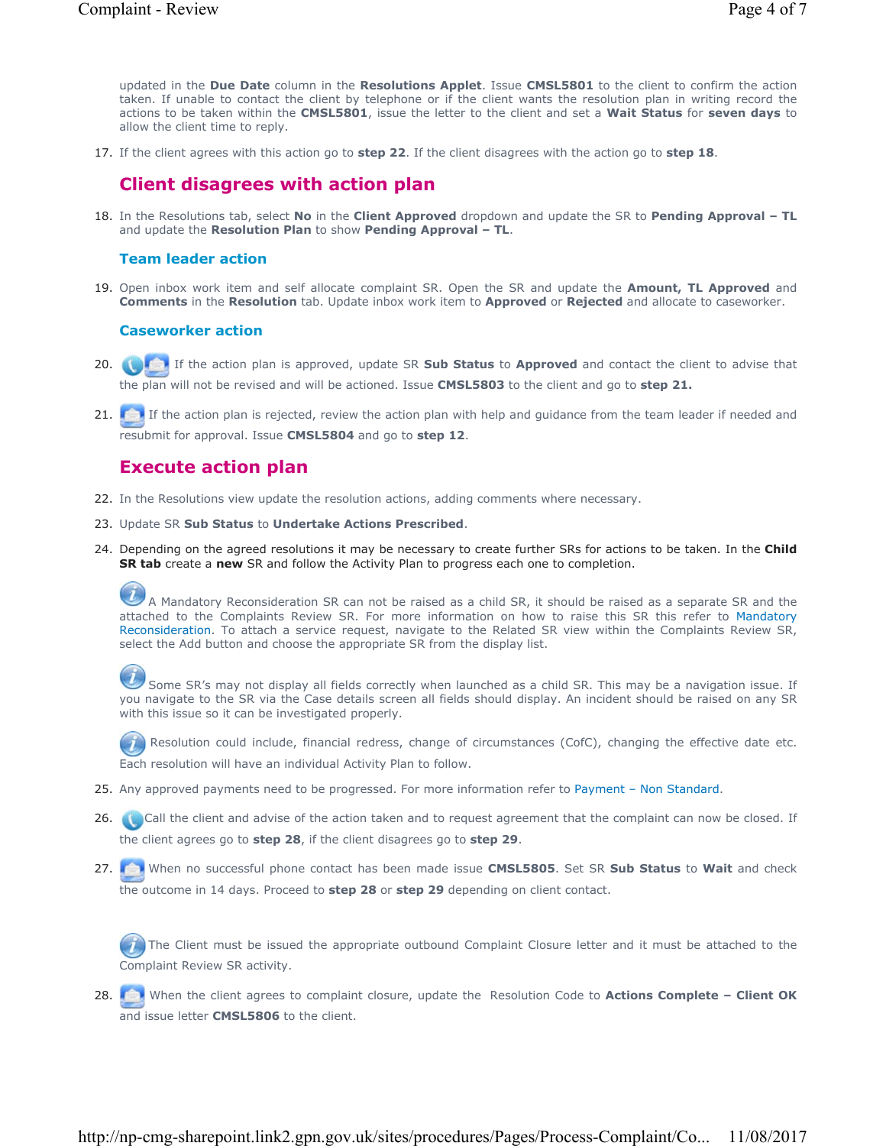updated in the **Due Date** column in the **Resolutions Applet**. Issue **CMSL5801** to the client to confirm the action taken. If unable to contact the client by telephone or if the client wants the resolution plan in writing record the actions to be taken within the **CMSL5801**, issue the letter to the client and set a **Wait Status** for **seven days** to allow the client time to reply.

17. If the client agrees with this action go to **step 22**. If the client disagrees with the action go to **step 18**.

# **Client disagrees with action plan**

18. In the Resolutions tab, select **No** in the **Client Approved** dropdown and update the SR to Pending Approval - TL and update the **Resolution Plan** to show **Pending Approval – TL**.

## **Team leader action**

19. Open inbox work item and self allocate complaint SR. Open the SR and update the **Amount, TL Approved** and **Comments** in the **Resolution** tab. Update inbox work item to **Approved** or **Rejected** and allocate to caseworker.

## **Caseworker action**

- If the action plan is approved, update SR **Sub Status** to **Approved** and contact the client to advise that 20. the plan will not be revised and will be actioned. Issue **CMSL5803** to the client and go to **step 21.**
- 21. **I** If the action plan is rejected, review the action plan with help and guidance from the team leader if needed and resubmit for approval. Issue **CMSL5804** and go to **step 12**.

## **Execute action plan**

- 22. In the Resolutions view update the resolution actions, adding comments where necessary.
- 23. Update SR **Sub Status** to **Undertake Actions Prescribed**.
- 24. Depending on the agreed resolutions it may be necessary to create further SRs for actions to be taken. In the **Child SR tab** create a **new** SR and follow the Activity Plan to progress each one to completion.

A Mandatory Reconsideration SR can not be raised as a child SR, it should be raised as a separate SR and the attached to the Complaints Review SR. For more information on how to raise this SR this refer to Mandatory Reconsideration. To attach a service request, navigate to the Related SR view within the Complaints Review SR, select the Add button and choose the appropriate SR from the display list.

 Some SR's may not display all fields correctly when launched as a child SR. This may be a navigation issue. If you navigate to the SR via the Case details screen all fields should display. An incident should be raised on any SR with this issue so it can be investigated properly.

Resolution could include, financial redress, change of circumstances (CofC), changing the effective date etc. Each resolution will have an individual Activity Plan to follow.

- 25. Any approved payments need to be progressed. For more information refer to Payment Non Standard.
- 26. Call the client and advise of the action taken and to request agreement that the complaint can now be closed. If the client agrees go to **step 28**, if the client disagrees go to **step 29**.
- When no successful phone contact has been made issue **CMSL5805**. Set SR **Sub Status** to **Wait** and check 27. the outcome in 14 days. Proceed to **step 28** or **step 29** depending on client contact.

 The Client must be issued the appropriate outbound Complaint Closure letter and it must be attached to the Complaint Review SR activity.

When the client agrees to complaint closure, update the Resolution Code to **Actions Complete – Client OK** 28. and issue letter **CMSL5806** to the client.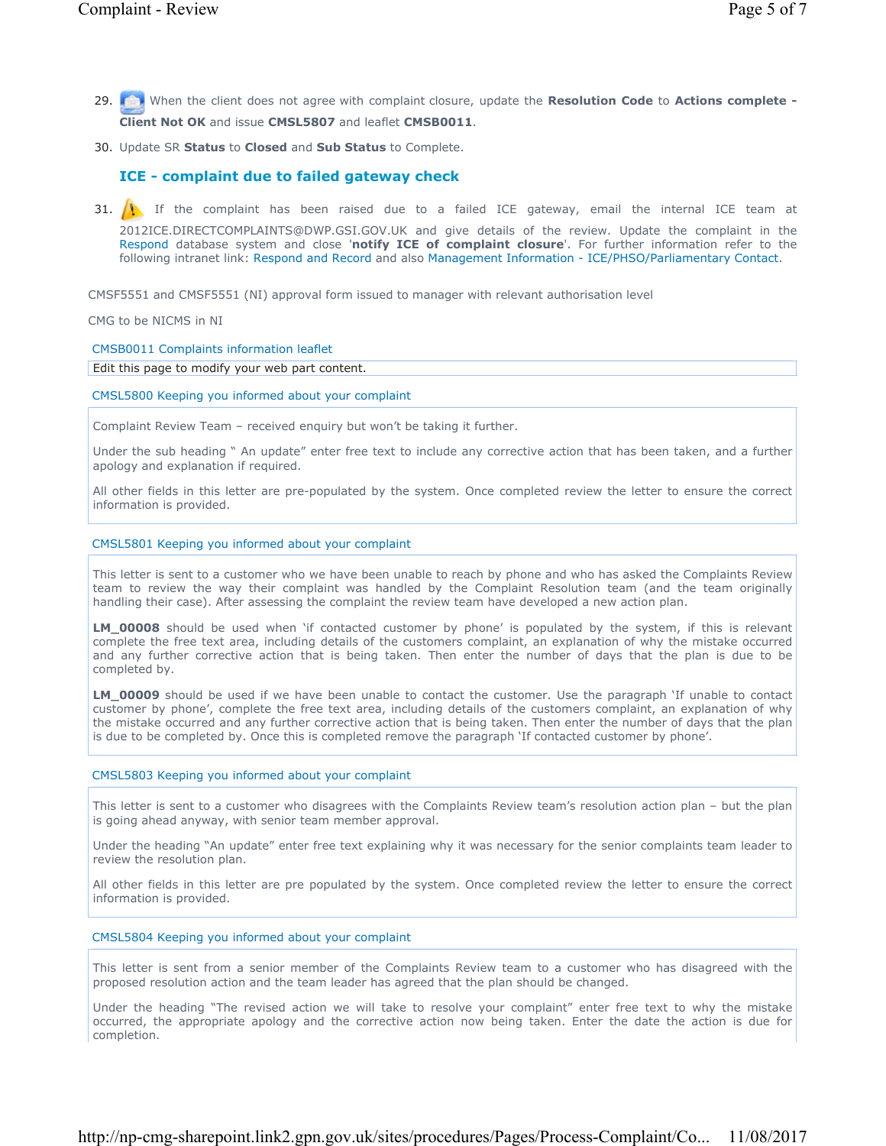- 
- When the client does not agree with complaint closure, update the **Resolution Code** to **Actions complete -** 29. **Client Not OK** and issue **CMSL5807** and leaflet **CMSB0011**.
- 30. Update SR Status to Closed and Sub Status to Complete.

## **ICE - complaint due to failed gateway check**

31.  $\bigcup$  If the complaint has been raised due to a failed ICE gateway, email the internal ICE team at 2012ICE.DIRECTCOMPLAINTS@DWP.GSI.GOV.UK and give details of the review. Update the complaint in the Respond database system and close '**notify ICE of complaint closure**'. For further information refer to the following intranet link: Respond and Record and also Management Information - ICE/PHSO/Parliamentary Contact.

CMSF5551 and CMSF5551 (NI) approval form issued to manager with relevant authorisation level

CMG to be NICMS in NI

### CMSB0011 Complaints information leaflet

Edit this page to modify your web part content.

CMSL5800 Keeping you informed about your complaint

Complaint Review Team – received enquiry but won't be taking it further.

Under the sub heading " An update" enter free text to include any corrective action that has been taken, and a further apology and explanation if required.

All other fields in this letter are pre-populated by the system. Once completed review the letter to ensure the correct information is provided.

### CMSL5801 Keeping you informed about your complaint

This letter is sent to a customer who we have been unable to reach by phone and who has asked the Complaints Review team to review the way their complaint was handled by the Complaint Resolution team (and the team originally handling their case). After assessing the complaint the review team have developed a new action plan.

**LM\_00008** should be used when 'if contacted customer by phone' is populated by the system, if this is relevant complete the free text area, including details of the customers complaint, an explanation of why the mistake occurred and any further corrective action that is being taken. Then enter the number of days that the plan is due to be completed by.

**LM\_00009** should be used if we have been unable to contact the customer. Use the paragraph 'If unable to contact customer by phone', complete the free text area, including details of the customers complaint, an explanation of why the mistake occurred and any further corrective action that is being taken. Then enter the number of days that the plan is due to be completed by. Once this is completed remove the paragraph 'If contacted customer by phone'.

### CMSL5803 Keeping you informed about your complaint

This letter is sent to a customer who disagrees with the Complaints Review team's resolution action plan – but the plan is going ahead anyway, with senior team member approval.

Under the heading "An update" enter free text explaining why it was necessary for the senior complaints team leader to review the resolution plan.

All other fields in this letter are pre populated by the system. Once completed review the letter to ensure the correct information is provided.

### CMSL5804 Keeping you informed about your complaint

This letter is sent from a senior member of the Complaints Review team to a customer who has disagreed with the proposed resolution action and the team leader has agreed that the plan should be changed.

Under the heading "The revised action we will take to resolve your complaint" enter free text to why the mistake occurred, the appropriate apology and the corrective action now being taken. Enter the date the action is due for completion.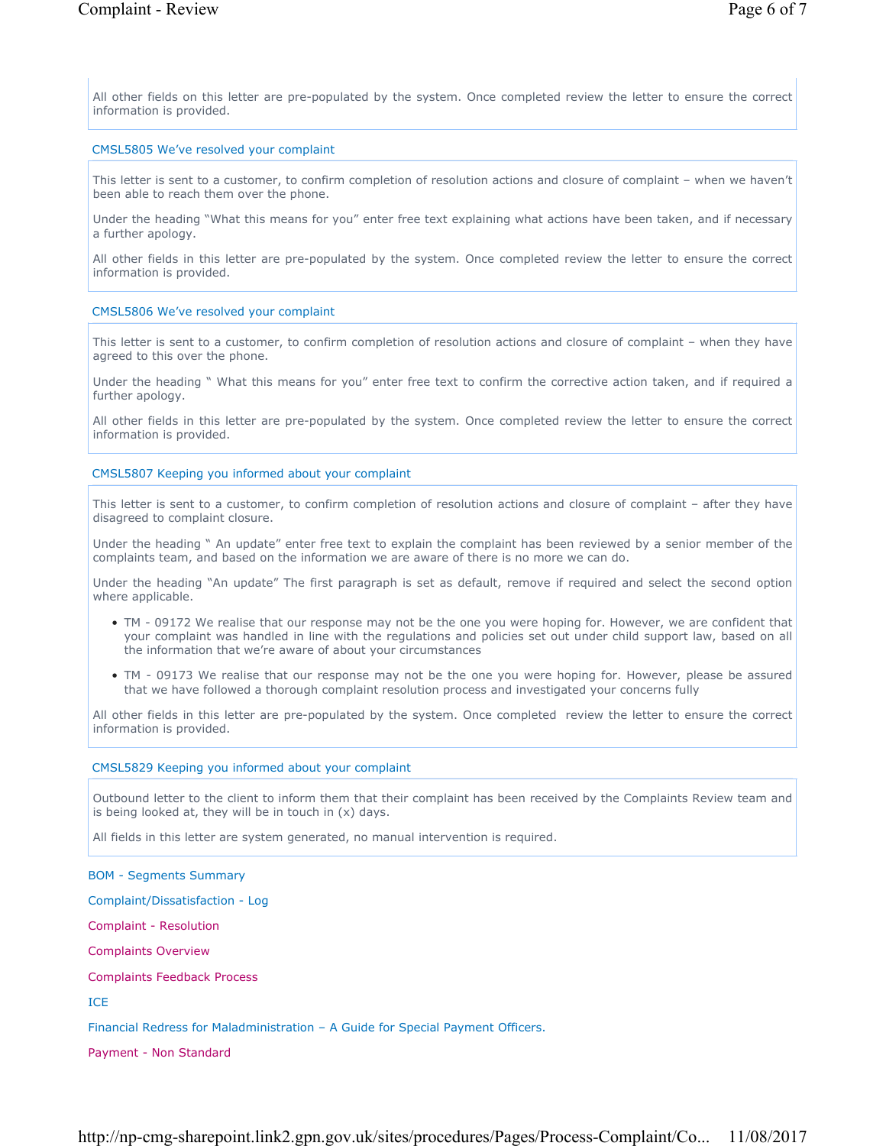All other fields on this letter are pre-populated by the system. Once completed review the letter to ensure the correct information is provided.

### CMSL5805 We've resolved your complaint

This letter is sent to a customer, to confirm completion of resolution actions and closure of complaint – when we haven't been able to reach them over the phone.

Under the heading "What this means for you" enter free text explaining what actions have been taken, and if necessary a further apology.

All other fields in this letter are pre-populated by the system. Once completed review the letter to ensure the correct information is provided.

### CMSL5806 We've resolved your complaint

This letter is sent to a customer, to confirm completion of resolution actions and closure of complaint – when they have agreed to this over the phone.

Under the heading " What this means for you" enter free text to confirm the corrective action taken, and if required a further apology.

All other fields in this letter are pre-populated by the system. Once completed review the letter to ensure the correct information is provided.

### CMSL5807 Keeping you informed about your complaint

This letter is sent to a customer, to confirm completion of resolution actions and closure of complaint – after they have disagreed to complaint closure.

Under the heading " An update" enter free text to explain the complaint has been reviewed by a senior member of the complaints team, and based on the information we are aware of there is no more we can do.

Under the heading "An update" The first paragraph is set as default, remove if required and select the second option where applicable.

- TM 09172 We realise that our response may not be the one you were hoping for. However, we are confident that your complaint was handled in line with the regulations and policies set out under child support law, based on all the information that we're aware of about your circumstances
- TM 09173 We realise that our response may not be the one you were hoping for. However, please be assured that we have followed a thorough complaint resolution process and investigated your concerns fully

All other fields in this letter are pre-populated by the system. Once completed review the letter to ensure the correct information is provided.

### CMSL5829 Keeping you informed about your complaint

Outbound letter to the client to inform them that their complaint has been received by the Complaints Review team and is being looked at, they will be in touch in (x) days.

All fields in this letter are system generated, no manual intervention is required.

### BOM - Segments Summary

Complaint/Dissatisfaction - Log

Complaint - Resolution

Complaints Overview

Complaints Feedback Process

ICE

Financial Redress for Maladministration – A Guide for Special Payment Officers.

Payment - Non Standard